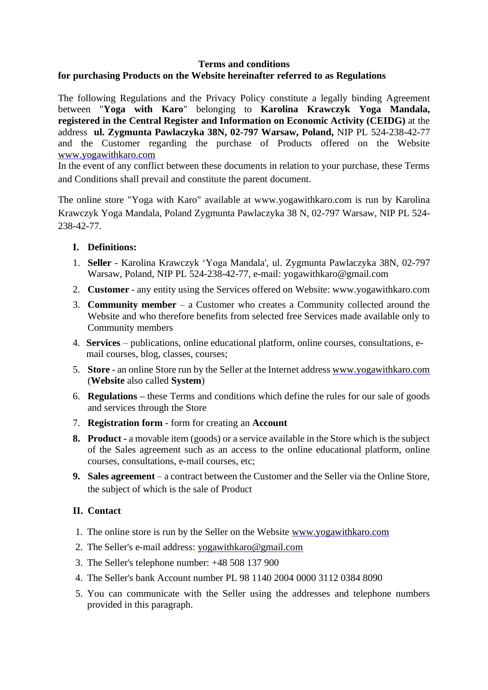#### **Terms and conditions**

# **for purchasing Products on the Website hereinafter referred to as Regulations**

The following Regulations and the Privacy Policy constitute a legally binding Agreement between "**Yoga with Karo**" belonging to **Karolina Krawczyk Yoga Mandala, registered in the Central Register and Information on Economic Activity (CEIDG)** at the address **ul. Zygmunta Pawlaczyka 38N, 02-797 Warsaw, Poland,** NIP PL 524-238-42-77 and the Customer regarding the purchase of Products offered on the Website [www.yogawithkaro.com](http://www.yogawithkaro.com/)

In the event of any conflict between these documents in relation to your purchase, these Terms and Conditions shall prevail and constitute the parent document.

The online store "Yoga with Karo" available at www.yogawithkaro.com is run by Karolina Krawczyk Yoga Mandala, Poland Zygmunta Pawlaczyka 38 N, 02-797 Warsaw, NIP PL 524- 238-42-77.

### **I. Definitions:**

- 1. **Seller** Karolina Krawczyk 'Yoga Mandala', ul. Zygmunta Pawlaczyka 38N, 02-797 Warsaw, Poland, NIP PL 524-238-42-77, e-mail: yogawithkaro@gmail.com
- 2. **Customer** any entity using the Services offered on Website: www.yogawithkaro.com
- 3. **Community member** a Customer who creates a Community collected around the Website and who therefore benefits from selected free Services made available only to Community members
- 4. **Services** publications, online educational platform, online courses, consultations, email courses, blog, classes, courses;
- 5. **Store** an online Store run by the Seller at the Internet address [www.yogawithkaro.com](http://www.yogawithkaro.com/) (**Website** also called **System**)
- 6. **Regulations –** these Terms and conditions which define the rules for our sale of goods and services through the Store
- 7. **Registration form** form for creating an **Account**
- **8. Product -** a movable item (goods) or a service available in the Store which is the subject of the Sales agreement such as an access to the online educational platform, online courses, consultations, e-mail courses, etc;
- **9. Sales agreement** a contract between the Customer and the Seller via the Online Store, the subject of which is the sale of Product

### **II. Contact**

- 1. The online store is run by the Seller on the Website [www.yogawithkaro.com](http://www.yogawithkaro.com/)
- 2. The Seller's e-mail address: [yogawithkaro@gmail.com](mailto:yogawithkaro@gmail.com)
- 3. The Seller's telephone number: +48 508 137 900
- 4. The Seller's bank Account number PL 98 1140 2004 0000 3112 0384 8090
- 5. You can communicate with the Seller using the addresses and telephone numbers provided in this paragraph.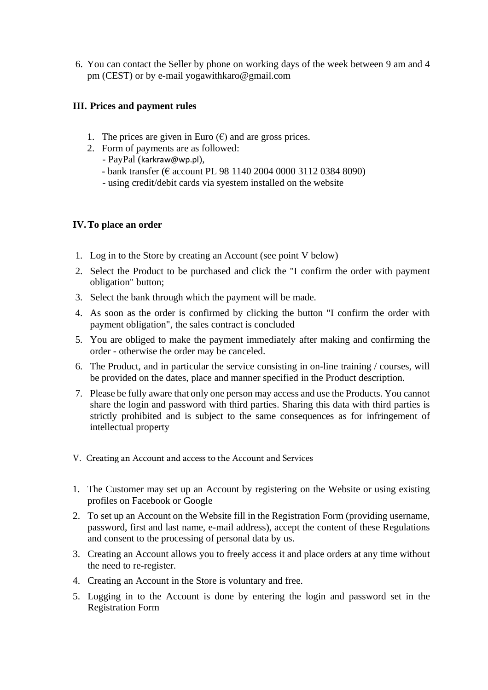6. You can contact the Seller by phone on working days of the week between 9 am and 4 pm (CEST) or by e-mail yogawithkaro@gmail.com

# **III. Prices and payment rules**

- 1. The prices are given in Euro  $(\epsilon)$  and are gross prices.
- 2. Form of payments are as followed:
	- PayPal ([karkraw@wp.pl](mailto:karkraw@wp.pl)),
	- bank transfer (€ account PL 98 1140 2004 0000 3112 0384 8090)
	- using credit/debit cards via syestem installed on the website

### **IV.To place an order**

- 1. Log in to the Store by creating an Account (see point V below)
- 2. Select the Product to be purchased and click the "I confirm the order with payment obligation" button;
- 3. Select the bank through which the payment will be made.
- 4. As soon as the order is confirmed by clicking the button "I confirm the order with payment obligation", the sales contract is concluded
- 5. You are obliged to make the payment immediately after making and confirming the order - otherwise the order may be canceled.
- 6. The Product, and in particular the service consisting in on-line training / courses, will be provided on the dates, place and manner specified in the Product description.
- 7. Please be fully aware that only one person may access and use the Products. You cannot share the login and password with third parties. Sharing this data with third parties is strictly prohibited and is subject to the same consequences as for infringement of intellectual property
- V. Creating an Account and access to the Account and Services
- 1. The Customer may set up an Account by registering on the Website or using existing profiles on Facebook or Google
- 2. To set up an Account on the Website fill in the Registration Form (providing username, password, first and last name, e-mail address), accept the content of these Regulations and consent to the processing of personal data by us.
- 3. Creating an Account allows you to freely access it and place orders at any time without the need to re-register.
- 4. Creating an Account in the Store is voluntary and free.
- 5. Logging in to the Account is done by entering the login and password set in the Registration Form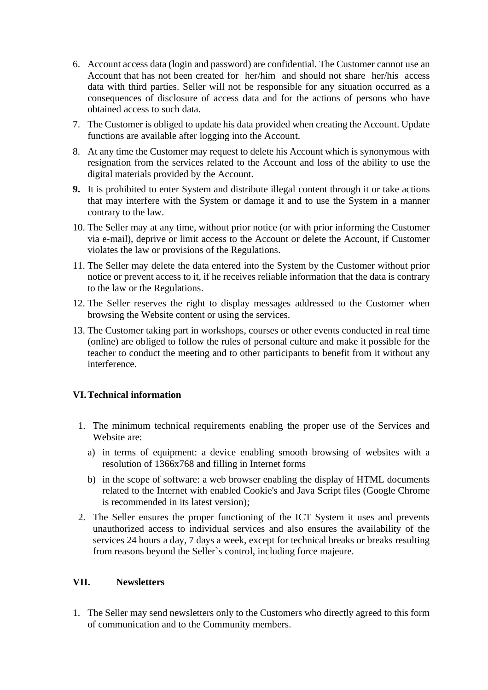- 6. Account access data (login and password) are confidential. The Customer cannot use an Account that has not been created for her/him and should not share her/his access data with third parties. Seller will not be responsible for any situation occurred as a consequences of disclosure of access data and for the actions of persons who have obtained access to such data.
- 7. The Customer is obliged to update his data provided when creating the Account. Update functions are available after logging into the Account.
- 8. At any time the Customer may request to delete his Account which is synonymous with resignation from the services related to the Account and loss of the ability to use the digital materials provided by the Account.
- **9.** It is prohibited to enter System and distribute illegal content through it or take actions that may interfere with the System or damage it and to use the System in a manner contrary to the law.
- 10. The Seller may at any time, without prior notice (or with prior informing the Customer via e-mail), deprive or limit access to the Account or delete the Account, if Customer violates the law or provisions of the Regulations.
- 11. The Seller may delete the data entered into the System by the Customer without prior notice or prevent access to it, if he receives reliable information that the data is contrary to the law or the Regulations.
- 12. The Seller reserves the right to display messages addressed to the Customer when browsing the Website content or using the services.
- 13. The Customer taking part in workshops, courses or other events conducted in real time (online) are obliged to follow the rules of personal culture and make it possible for the teacher to conduct the meeting and to other participants to benefit from it without any interference.

### **VI.Technical information**

- 1. The minimum technical requirements enabling the proper use of the Services and Website are:
	- a) in terms of equipment: a device enabling smooth browsing of websites with a resolution of 1366x768 and filling in Internet forms
	- b) in the scope of software: a web browser enabling the display of HTML documents related to the Internet with enabled Cookie's and Java Script files (Google Chrome is recommended in its latest version);
- 2. The Seller ensures the proper functioning of the ICT System it uses and prevents unauthorized access to individual services and also ensures the availability of the services 24 hours a day, 7 days a week, except for technical breaks or breaks resulting from reasons beyond the Seller`s control, including force majeure.

#### **VII. Newsletters**

1. The Seller may send newsletters only to the Customers who directly agreed to this form of communication and to the Community members.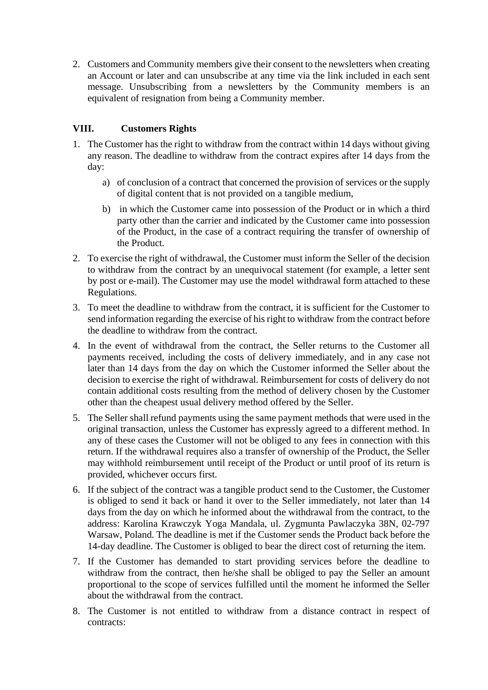2. Customers and Community members give their consent to the newsletters when creating an Account or later and can unsubscribe at any time via the link included in each sent message. Unsubscribing from a newsletters by the Community members is an equivalent of resignation from being a Community member.

# **VIII. Customers Rights**

- 1. The Customer has the right to withdraw from the contract within 14 days without giving any reason. The deadline to withdraw from the contract expires after 14 days from the day:
	- a) of conclusion of a contract that concerned the provision of services or the supply of digital content that is not provided on a tangible medium,
	- b) in which the Customer came into possession of the Product or in which a third party other than the carrier and indicated by the Customer came into possession of the Product, in the case of a contract requiring the transfer of ownership of the Product.
- 2. To exercise the right of withdrawal, the Customer must inform the Seller of the decision to withdraw from the contract by an unequivocal statement (for example, a letter sent by post or e-mail). The Customer may use the model withdrawal form attached to these Regulations.
- 3. To meet the deadline to withdraw from the contract, it is sufficient for the Customer to send information regarding the exercise of his right to withdraw from the contract before the deadline to withdraw from the contract.
- 4. In the event of withdrawal from the contract, the Seller returns to the Customer all payments received, including the costs of delivery immediately, and in any case not later than 14 days from the day on which the Customer informed the Seller about the decision to exercise the right of withdrawal. Reimbursement for costs of delivery do not contain additional costs resulting from the method of delivery chosen by the Customer other than the cheapest usual delivery method offered by the Seller.
- 5. The Seller shall refund payments using the same payment methods that were used in the original transaction, unless the Customer has expressly agreed to a different method. In any of these cases the Customer will not be obliged to any fees in connection with this return. If the withdrawal requires also a transfer of ownership of the Product, the Seller may withhold reimbursement until receipt of the Product or until proof of its return is provided, whichever occurs first.
- 6. If the subject of the contract was a tangible product send to the Customer, the Customer is obliged to send it back or hand it over to the Seller immediately, not later than 14 days from the day on which he informed about the withdrawal from the contract, to the address: Karolina Krawczyk Yoga Mandala, ul. Zygmunta Pawlaczyka 38N, 02-797 Warsaw, Poland. The deadline is met if the Customer sends the Product back before the 14-day deadline. The Customer is obliged to bear the direct cost of returning the item.
- 7. If the Customer has demanded to start providing services before the deadline to withdraw from the contract, then he/she shall be obliged to pay the Seller an amount proportional to the scope of services fulfilled until the moment he informed the Seller about the withdrawal from the contract.
- 8. The Customer is not entitled to withdraw from a distance contract in respect of contracts: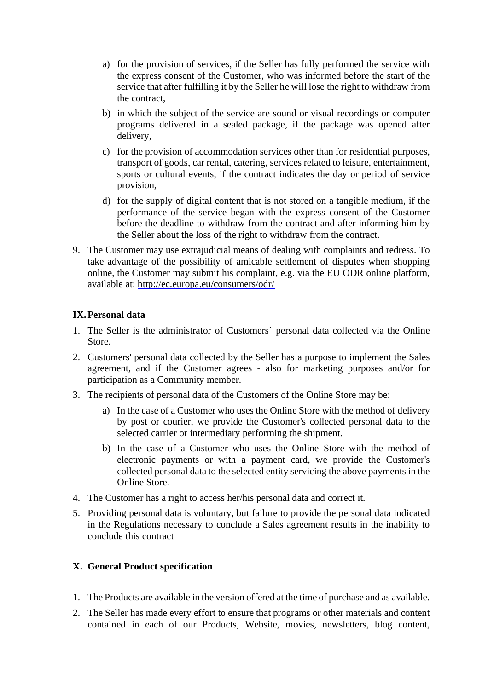- a) for the provision of services, if the Seller has fully performed the service with the express consent of the Customer, who was informed before the start of the service that after fulfilling it by the Seller he will lose the right to withdraw from the contract,
- b) in which the subject of the service are sound or visual recordings or computer programs delivered in a sealed package, if the package was opened after delivery,
- c) for the provision of accommodation services other than for residential purposes, transport of goods, car rental, catering, services related to leisure, entertainment, sports or cultural events, if the contract indicates the day or period of service provision,
- d) for the supply of digital content that is not stored on a tangible medium, if the performance of the service began with the express consent of the Customer before the deadline to withdraw from the contract and after informing him by the Seller about the loss of the right to withdraw from the contract.
- 9. The Customer may use extrajudicial means of dealing with complaints and redress. To take advantage of the possibility of amicable settlement of disputes when shopping online, the Customer may submit his complaint, e.g. via the EU ODR online platform, available at: <http://ec.europa.eu/consumers/odr/>

### **IX.Personal data**

- 1. The Seller is the administrator of Customers` personal data collected via the Online Store.
- 2. Customers' personal data collected by the Seller has a purpose to implement the Sales agreement, and if the Customer agrees - also for marketing purposes and/or for participation as a Community member.
- 3. The recipients of personal data of the Customers of the Online Store may be:
	- a) In the case of a Customer who uses the Online Store with the method of delivery by post or courier, we provide the Customer's collected personal data to the selected carrier or intermediary performing the shipment.
	- b) In the case of a Customer who uses the Online Store with the method of electronic payments or with a payment card, we provide the Customer's collected personal data to the selected entity servicing the above payments in the Online Store.
- 4. The Customer has a right to access her/his personal data and correct it.
- 5. Providing personal data is voluntary, but failure to provide the personal data indicated in the Regulations necessary to conclude a Sales agreement results in the inability to conclude this contract

### **X. General Product specification**

- 1. The Products are available in the version offered at the time of purchase and as available.
- 2. The Seller has made every effort to ensure that programs or other materials and content contained in each of our Products, Website, movies, newsletters, blog content,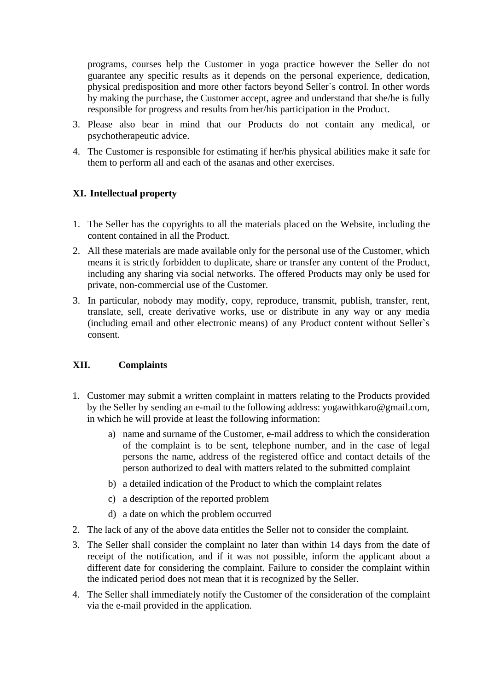programs, courses help the Customer in yoga practice however the Seller do not guarantee any specific results as it depends on the personal experience, dedication, physical predisposition and more other factors beyond Seller`s control. In other words by making the purchase, the Customer accept, agree and understand that she/he is fully responsible for progress and results from her/his participation in the Product.

- 3. Please also bear in mind that our Products do not contain any medical, or psychotherapeutic advice.
- 4. The Customer is responsible for estimating if her/his physical abilities make it safe for them to perform all and each of the asanas and other exercises.

### **XI. Intellectual property**

- 1. The Seller has the copyrights to all the materials placed on the Website, including the content contained in all the Product.
- 2. All these materials are made available only for the personal use of the Customer, which means it is strictly forbidden to duplicate, share or transfer any content of the Product, including any sharing via social networks. The offered Products may only be used for private, non-commercial use of the Customer.
- 3. In particular, nobody may modify, copy, reproduce, transmit, publish, transfer, rent, translate, sell, create derivative works, use or distribute in any way or any media (including email and other electronic means) of any Product content without Seller`s consent.

### **XII. Complaints**

- 1. Customer may submit a written complaint in matters relating to the Products provided by the Seller by sending an e-mail to the following address: yogawithkaro@gmail.com, in which he will provide at least the following information:
	- a) name and surname of the Customer, e-mail address to which the consideration of the complaint is to be sent, telephone number, and in the case of legal persons the name, address of the registered office and contact details of the person authorized to deal with matters related to the submitted complaint
	- b) a detailed indication of the Product to which the complaint relates
	- c) a description of the reported problem
	- d) a date on which the problem occurred
- 2. The lack of any of the above data entitles the Seller not to consider the complaint.
- 3. The Seller shall consider the complaint no later than within 14 days from the date of receipt of the notification, and if it was not possible, inform the applicant about a different date for considering the complaint. Failure to consider the complaint within the indicated period does not mean that it is recognized by the Seller.
- 4. The Seller shall immediately notify the Customer of the consideration of the complaint via the e-mail provided in the application.